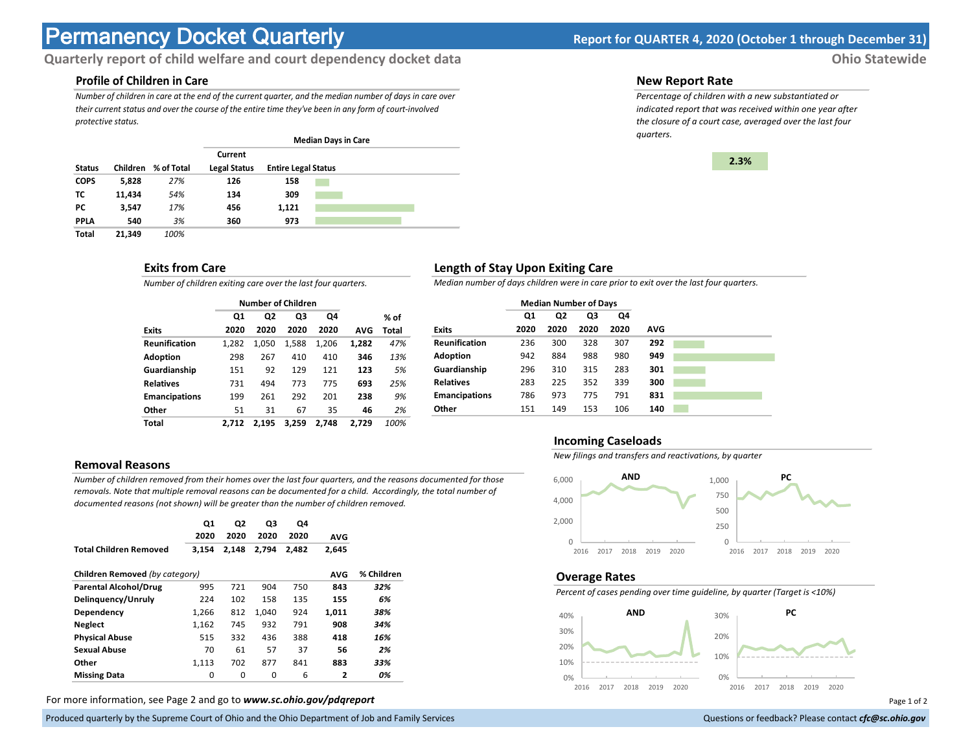# **Permanency Docket Quarterly Report for QUARTER 4, 2020 (October 1 through December 31)**

# **Quarterly report of child welfare and court dependency docket data** *Ohio Statewide*

### **Profile of Children in Care**

*Number of children in care at the end of the current quarter, and the median number of days in care over their current status and over the course of the entire time they've been in any form of court-involved protective status.*

|               |                 |            | <b>Median Days in Care</b> |                            |  |  |  |  |  |
|---------------|-----------------|------------|----------------------------|----------------------------|--|--|--|--|--|
|               |                 |            | Current                    |                            |  |  |  |  |  |
| <b>Status</b> | <b>Children</b> | % of Total | <b>Legal Status</b>        | <b>Entire Legal Status</b> |  |  |  |  |  |
| <b>COPS</b>   | 5,828           | 27%        | 126                        | 158                        |  |  |  |  |  |
| тс            | 11.434          | 54%        | 134                        | 309                        |  |  |  |  |  |
| РC            | 3.547           | 17%        | 456                        | 1,121                      |  |  |  |  |  |
| <b>PPLA</b>   | 540             | 3%         | 360                        | 973                        |  |  |  |  |  |
| Total         | 21,349          | 100%       |                            |                            |  |  |  |  |  |

#### **Exits from Care**

*Number of children exiting care over the last four quarters.*

|                      |       | Number of Children |       |       |            |       |
|----------------------|-------|--------------------|-------|-------|------------|-------|
|                      | Q1    | Q2                 | Q3    | Q4    |            | % of  |
| <b>Exits</b>         | 2020  | 2020               | 2020  | 2020  | <b>AVG</b> | Total |
| <b>Reunification</b> | 1.282 | 1.050              | 1,588 | 1.206 | 1.282      | 47%   |
| <b>Adoption</b>      | 298   | 267                | 410   | 410   | 346        | 13%   |
| Guardianship         | 151   | 92                 | 129   | 121   | 123        | 5%    |
| <b>Relatives</b>     | 731   | 494                | 773   | 775   | 693        | 25%   |
| <b>Emancipations</b> | 199   | 261                | 292   | 201   | 238        | 9%    |
| Other                | 51    | 31                 | 67    | 35    | 46         | 2%    |
| Total                | 2.712 | 2.195              | 3.259 | 2.748 | 2.729      | 100%  |

# **Removal Reasons**

*Number of children removed from their homes over the last four quarters, and the reasons documented for those removals. Note that multiple removal reasons can be documented for a child. Accordingly, the total number of documented reasons (not shown) will be greater than the number of children removed.* 

|                                | Q1    | Q2       | Q3    | Q4    |              |            |
|--------------------------------|-------|----------|-------|-------|--------------|------------|
|                                | 2020  | 2020     | 2020  | 2020  | <b>AVG</b>   |            |
| <b>Total Children Removed</b>  | 3.154 | 2.148    | 2,794 | 2.482 | 2.645        |            |
| Children Removed (by category) |       |          |       |       | <b>AVG</b>   | % Children |
| <b>Parental Alcohol/Drug</b>   | 995   | 721      | 904   | 750   | 843          | 32%        |
| Delinguency/Unruly             | 224   | 102      | 158   | 135   | 155          | 6%         |
| Dependency                     | 1.266 | 812      | 1.040 | 924   | 1.011        | 38%        |
| <b>Neglect</b>                 | 1,162 | 745      | 932   | 791   | 908          | 34%        |
| <b>Physical Abuse</b>          | 515   | 332      | 436   | 388   | 418          | 16%        |
| <b>Sexual Abuse</b>            | 70    | 61       | 57    | 37    | 56           | 2%         |
| Other                          | 1,113 | 702      | 877   | 841   | 883          | 33%        |
| <b>Missing Data</b>            | 0     | $\Omega$ | 0     | 6     | $\mathbf{2}$ | 0%         |

For more information, see Page 2 and go to *www.sc.ohio.gov/pdqreport* examples and the example of 2 and 2 and 3 and 2 and 2 and 2 and 2 and 2 and 2 and 2 and 2 and 2 and 2 and 2 and 2 and 2 and 2 and 2 and 2 and 2 and 2 a

Produced quarterly by the Supreme Court of Ohio and the Ohio Department of Job and Family Services Questions or feedback? Please contact *cfc@sc.ohio.gov* **Questions or feedback? Please contact** *cfc@sc.ohio.gov* 

#### **New Report Rate**

*Percentage of children with a new substantiated or indicated report that was received within one year after the closure of a court case, averaged over the last four quarters.*



### **Length of Stay Upon Exiting Care**

*Median number of days children were in care prior to exit over the last four quarters.*

|                      | <b>Median Number of Days</b> |      |      |      |     |  |
|----------------------|------------------------------|------|------|------|-----|--|
|                      | Q1                           | Q2   | Q3   | Ο4   |     |  |
| <b>Exits</b>         | 2020                         | 2020 | 2020 | 2020 | AVG |  |
| <b>Reunification</b> | 236                          | 300  | 328  | 307  | 292 |  |
| Adoption             | 942                          | 884  | 988  | 980  | 949 |  |
| Guardianship         | 296                          | 310  | 315  | 283  | 301 |  |
| <b>Relatives</b>     | 283                          | 225  | 352  | 339  | 300 |  |
| <b>Emancipations</b> | 786                          | 973  | 775  | 791  | 831 |  |
| Other                | 151                          | 149  | 153  | 106  | 140 |  |

#### **Incoming Caseloads**

*New filings and transfers and reactivations, by quarter*



#### **Overage Rates**

*Percent of cases pending over time guideline, by quarter (Target is <10%)*